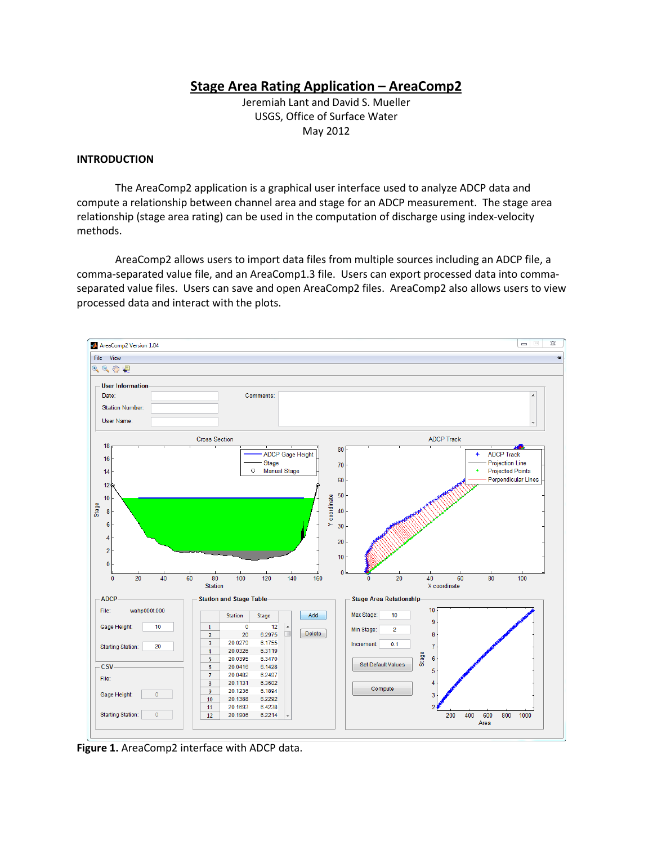# **Stage Area Rating Application – AreaComp2**

Jeremiah Lant and David S. Mueller USGS, Office of Surface Water May 2012

## **INTRODUCTION**

The AreaComp2 application is a graphical user interface used to analyze ADCP data and compute a relationship between channel area and stage for an ADCP measurement. The stage area relationship (stage area rating) can be used in the computation of discharge using index-velocity methods.

AreaComp2 allows users to import data files from multiple sources including an ADCP file, a comma-separated value file, and an AreaComp1.3 file. Users can export processed data into commaseparated value files. Users can save and open AreaComp2 files. AreaComp2 also allows users to view processed data and interact with the plots.



**Figure 1.** AreaComp2 interface with ADCP data.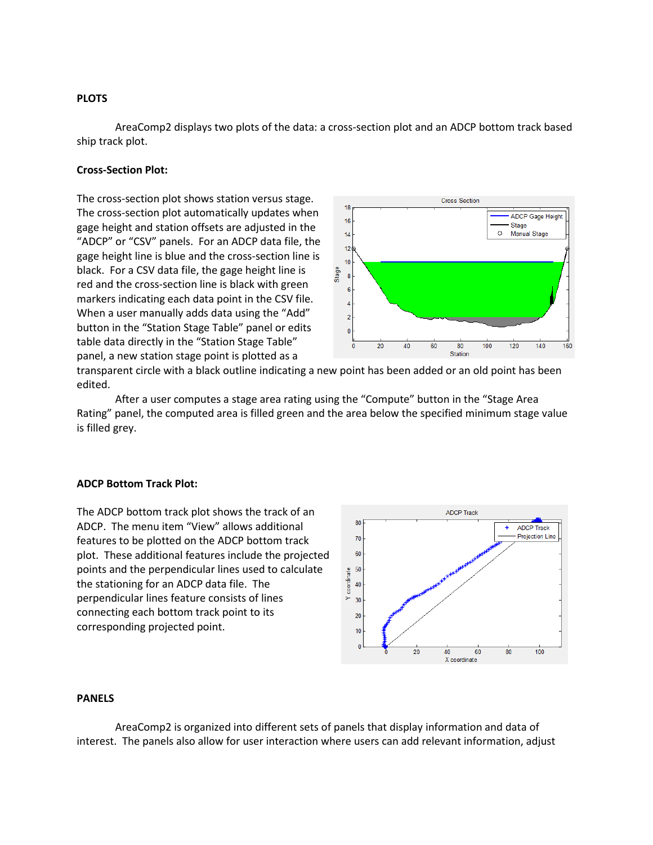## **PLOTS**

AreaComp2 displays two plots of the data: a cross-section plot and an ADCP bottom track based ship track plot.

# **Cross-Section Plot:**

The cross-section plot shows station versus stage. The cross-section plot automatically updates when gage height and station offsets are adjusted in the "ADCP" or "CSV" panels. For an ADCP data file, the gage height line is blue and the cross-section line is black. For a CSV data file, the gage height line is red and the cross-section line is black with green markers indicating each data point in the CSV file. When a user manually adds data using the "Add" button in the "Station Stage Table" panel or edits table data directly in the "Station Stage Table" panel, a new station stage point is plotted as a



transparent circle with a black outline indicating a new point has been added or an old point has been edited.

After a user computes a stage area rating using the "Compute" button in the "Stage Area Rating" panel, the computed area is filled green and the area below the specified minimum stage value is filled grey.

#### **ADCP Bottom Track Plot:**

The ADCP bottom track plot shows the track of an ADCP. The menu item "View" allows additional features to be plotted on the ADCP bottom track plot. These additional features include the projected points and the perpendicular lines used to calculate the stationing for an ADCP data file. The perpendicular lines feature consists of lines connecting each bottom track point to its corresponding projected point.



#### **PANELS**

AreaComp2 is organized into different sets of panels that display information and data of interest. The panels also allow for user interaction where users can add relevant information, adjust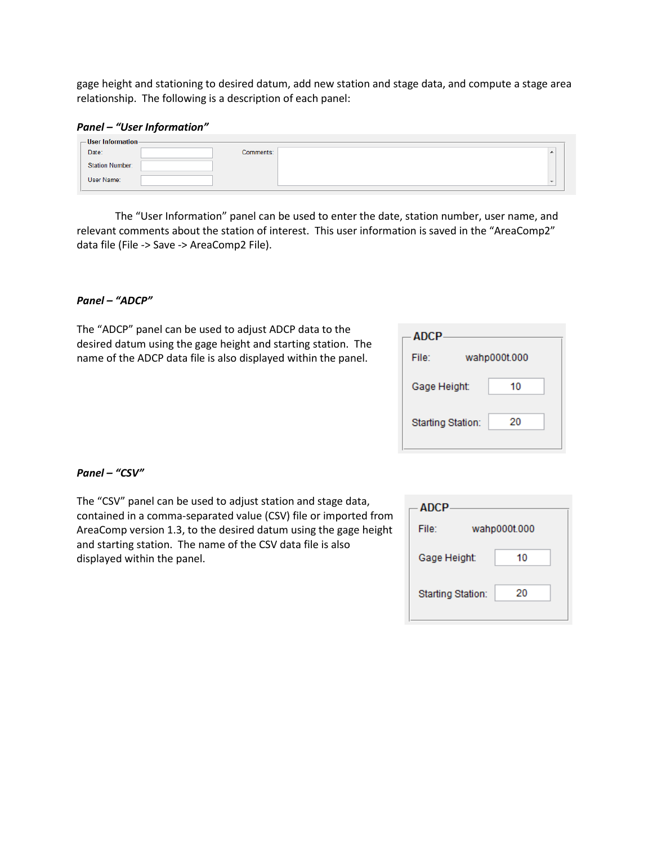gage height and stationing to desired datum, add new station and stage data, and compute a stage area relationship. The following is a description of each panel:

#### *Panel – "User Information"*

| $-$ User Information-  |                          |
|------------------------|--------------------------|
| Date:<br>Comments:     | ▴                        |
| <b>Station Number:</b> |                          |
| User Name:             | $\overline{\phantom{a}}$ |

The "User Information" panel can be used to enter the date, station number, user name, and relevant comments about the station of interest. This user information is saved in the "AreaComp2" data file (File -> Save -> AreaComp2 File).

#### *Panel – "ADCP"*

The "ADCP" panel can be used to adjust ADCP data to the desired datum using the gage height and starting station. The name of the ADCP data file is also displayed within the panel.

| <b>ADCP</b>              |              |    |
|--------------------------|--------------|----|
| File:                    | wahp000t.000 |    |
| Gage Height:             |              | 10 |
| <b>Starting Station:</b> |              | 20 |

#### *Panel – "CSV"*

The "CSV" panel can be used to adjust station and stage data, contained in a comma-separated value (CSV) file or imported from AreaComp version 1.3, to the desired datum using the gage height and starting station. The name of the CSV data file is also displayed within the panel.

| ADCP                     |              |    |
|--------------------------|--------------|----|
| File:                    | wahp000t.000 |    |
| Gage Height:             |              | 10 |
| <b>Starting Station:</b> |              | 20 |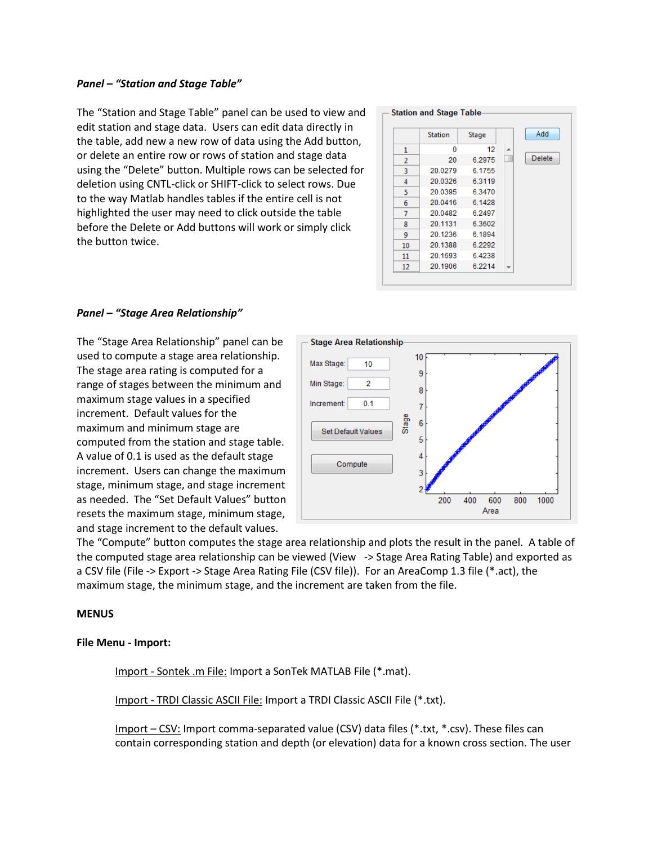## *Panel – "Station and Stage Table"*

The "Station and Stage Table" panel can be used to view and edit station and stage data. Users can edit data directly in the table, add new a new row of data using the Add button, or delete an entire row or rows of station and stage data using the "Delete" button. Multiple rows can be selected for deletion using CNTL-click or SHIFT-click to select rows. Due to the way Matlab handles tables if the entire cell is not highlighted the user may need to click outside the table before the Delete or Add buttons will work or simply click the button twice.

|    | <b>Station</b> | Stage  |    | Add           |
|----|----------------|--------|----|---------------|
| 1  | 0              | 12     | A. |               |
| 2  | 20             | 6.2975 | ш  | <b>Delete</b> |
| 3  | 20.0279        | 6.1755 |    |               |
| 4  | 20.0326        | 6.3119 |    |               |
| 5  | 20.0395        | 6.3470 |    |               |
| 6  | 20.0416        | 6.1428 |    |               |
| 7  | 20.0482        | 6.2497 |    |               |
| 8  | 20.1131        | 6.3602 |    |               |
| 9  | 20.1236        | 6.1894 |    |               |
| 10 | 20.1388        | 6.2292 |    |               |
| 11 | 20.1693        | 6.4238 |    |               |
| 12 | 20.1906        | 6.2214 |    |               |

## *Panel – "Stage Area Relationship"*

The "Stage Area Relationship" panel can be used to compute a stage area relationship. The stage area rating is computed for a range of stages between the minimum and maximum stage values in a specified increment. Default values for the maximum and minimum stage are computed from the station and stage table. A value of 0.1 is used as the default stage increment. Users can change the maximum stage, minimum stage, and stage increment as needed. The "Set Default Values" button resets the maximum stage, minimum stage, and stage increment to the default values.



The "Compute" button computes the stage area relationship and plots the result in the panel. A table of the computed stage area relationship can be viewed (View -> Stage Area Rating Table) and exported as a CSV file (File -> Export -> Stage Area Rating File (CSV file)). For an AreaComp 1.3 file (\*.act), the maximum stage, the minimum stage, and the increment are taken from the file.

#### **MENUS**

#### **File Menu - Import:**

Import - Sontek .m File: Import a SonTek MATLAB File (\*.mat).

Import - TRDI Classic ASCII File: Import a TRDI Classic ASCII File (\*.txt).

Import – CSV: Import comma-separated value (CSV) data files (\*.txt, \*.csv). These files can contain corresponding station and depth (or elevation) data for a known cross section. The user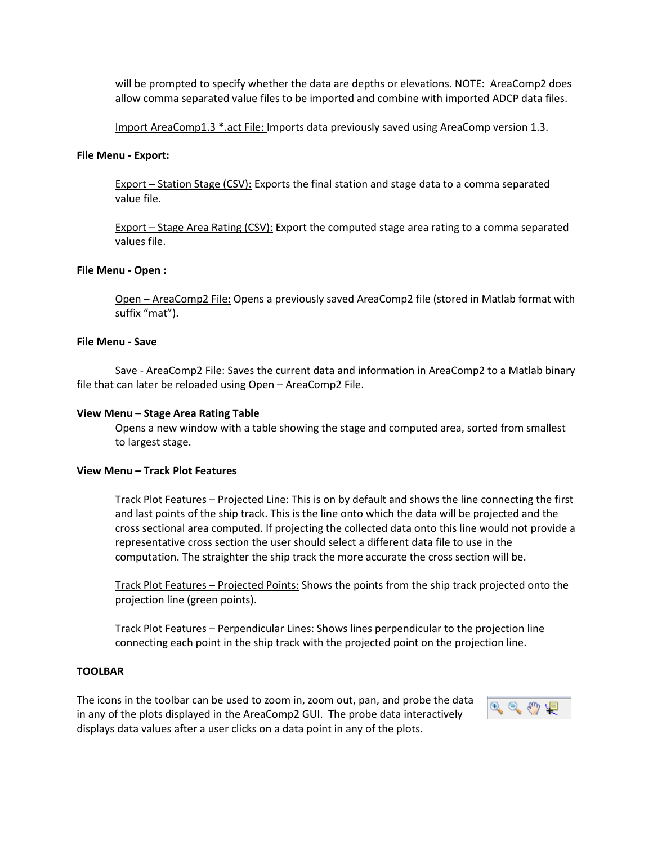will be prompted to specify whether the data are depths or elevations. NOTE: AreaComp2 does allow comma separated value files to be imported and combine with imported ADCP data files.

Import AreaComp1.3 \*.act File: Imports data previously saved using AreaComp version 1.3.

## **File Menu - Export:**

Export – Station Stage (CSV): Exports the final station and stage data to a comma separated value file.

Export – Stage Area Rating (CSV): Export the computed stage area rating to a comma separated values file.

## **File Menu - Open :**

Open – AreaComp2 File: Opens a previously saved AreaComp2 file (stored in Matlab format with suffix "mat").

## **File Menu - Save**

Save - AreaComp2 File: Saves the current data and information in AreaComp2 to a Matlab binary file that can later be reloaded using Open – AreaComp2 File.

## **View Menu – Stage Area Rating Table**

Opens a new window with a table showing the stage and computed area, sorted from smallest to largest stage.

## **View Menu – Track Plot Features**

Track Plot Features – Projected Line: This is on by default and shows the line connecting the first and last points of the ship track. This is the line onto which the data will be projected and the cross sectional area computed. If projecting the collected data onto this line would not provide a representative cross section the user should select a different data file to use in the computation. The straighter the ship track the more accurate the cross section will be.

Track Plot Features – Projected Points: Shows the points from the ship track projected onto the projection line (green points).

Track Plot Features – Perpendicular Lines: Shows lines perpendicular to the projection line connecting each point in the ship track with the projected point on the projection line.

## **TOOLBAR**

The icons in the toolbar can be used to zoom in, zoom out, pan, and probe the data in any of the plots displayed in the AreaComp2 GUI. The probe data interactively displays data values after a user clicks on a data point in any of the plots.